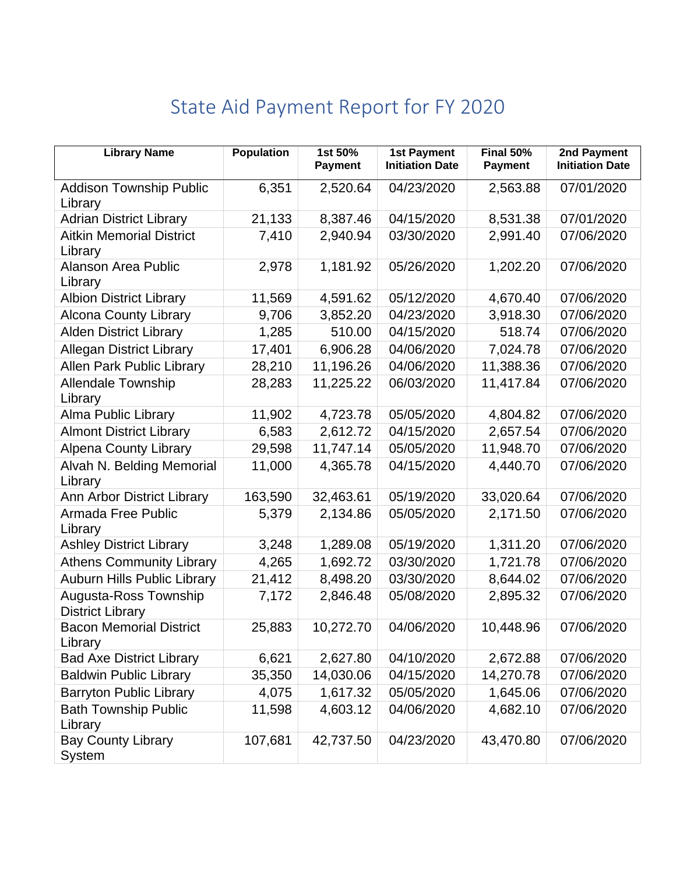## State Aid Payment Report for FY 2020

| <b>Library Name</b>                              | <b>Population</b> | 1st 50%<br><b>Payment</b> | <b>1st Payment</b><br><b>Initiation Date</b> | Final 50%<br><b>Payment</b> | 2nd Payment<br><b>Initiation Date</b> |
|--------------------------------------------------|-------------------|---------------------------|----------------------------------------------|-----------------------------|---------------------------------------|
| <b>Addison Township Public</b><br>Library        | 6,351             | 2,520.64                  | 04/23/2020                                   | 2,563.88                    | 07/01/2020                            |
| <b>Adrian District Library</b>                   | 21,133            | 8,387.46                  | 04/15/2020                                   | 8,531.38                    | 07/01/2020                            |
| <b>Aitkin Memorial District</b><br>Library       | 7,410             | 2,940.94                  | 03/30/2020                                   | 2,991.40                    | 07/06/2020                            |
| <b>Alanson Area Public</b><br>Library            | 2,978             | 1,181.92                  | 05/26/2020                                   | 1,202.20                    | 07/06/2020                            |
| <b>Albion District Library</b>                   | 11,569            | 4,591.62                  | 05/12/2020                                   | 4,670.40                    | 07/06/2020                            |
| <b>Alcona County Library</b>                     | 9,706             | 3,852.20                  | 04/23/2020                                   | 3,918.30                    | 07/06/2020                            |
| <b>Alden District Library</b>                    | 1,285             | 510.00                    | 04/15/2020                                   | 518.74                      | 07/06/2020                            |
| <b>Allegan District Library</b>                  | 17,401            | 6,906.28                  | 04/06/2020                                   | 7,024.78                    | 07/06/2020                            |
| Allen Park Public Library                        | 28,210            | 11,196.26                 | 04/06/2020                                   | 11,388.36                   | 07/06/2020                            |
| <b>Allendale Township</b><br>Library             | 28,283            | 11,225.22                 | 06/03/2020                                   | 11,417.84                   | 07/06/2020                            |
| <b>Alma Public Library</b>                       | 11,902            | 4,723.78                  | 05/05/2020                                   | 4,804.82                    | 07/06/2020                            |
| <b>Almont District Library</b>                   | 6,583             | 2,612.72                  | 04/15/2020                                   | 2,657.54                    | 07/06/2020                            |
| <b>Alpena County Library</b>                     | 29,598            | 11,747.14                 | 05/05/2020                                   | 11,948.70                   | 07/06/2020                            |
| Alvah N. Belding Memorial<br>Library             | 11,000            | 4,365.78                  | 04/15/2020                                   | 4,440.70                    | 07/06/2020                            |
| Ann Arbor District Library                       | 163,590           | 32,463.61                 | 05/19/2020                                   | 33,020.64                   | 07/06/2020                            |
| Armada Free Public<br>Library                    | 5,379             | 2,134.86                  | 05/05/2020                                   | 2,171.50                    | 07/06/2020                            |
| <b>Ashley District Library</b>                   | 3,248             | 1,289.08                  | 05/19/2020                                   | 1,311.20                    | 07/06/2020                            |
| <b>Athens Community Library</b>                  | 4,265             | 1,692.72                  | 03/30/2020                                   | 1,721.78                    | 07/06/2020                            |
| <b>Auburn Hills Public Library</b>               | 21,412            | 8,498.20                  | 03/30/2020                                   | 8,644.02                    | 07/06/2020                            |
| Augusta-Ross Township<br><b>District Library</b> | 7,172             | 2,846.48                  | 05/08/2020                                   | 2,895.32                    | 07/06/2020                            |
| <b>Bacon Memorial District</b><br>Library        | 25,883            | 10,272.70                 | 04/06/2020                                   | 10,448.96                   | 07/06/2020                            |
| <b>Bad Axe District Library</b>                  | 6,621             | 2,627.80                  | 04/10/2020                                   | 2,672.88                    | 07/06/2020                            |
| <b>Baldwin Public Library</b>                    | 35,350            | 14,030.06                 | 04/15/2020                                   | 14,270.78                   | 07/06/2020                            |
| <b>Barryton Public Library</b>                   | 4,075             | 1,617.32                  | 05/05/2020                                   | 1,645.06                    | 07/06/2020                            |
| <b>Bath Township Public</b><br>Library           | 11,598            | 4,603.12                  | 04/06/2020                                   | 4,682.10                    | 07/06/2020                            |
| <b>Bay County Library</b><br>System              | 107,681           | 42,737.50                 | 04/23/2020                                   | 43,470.80                   | 07/06/2020                            |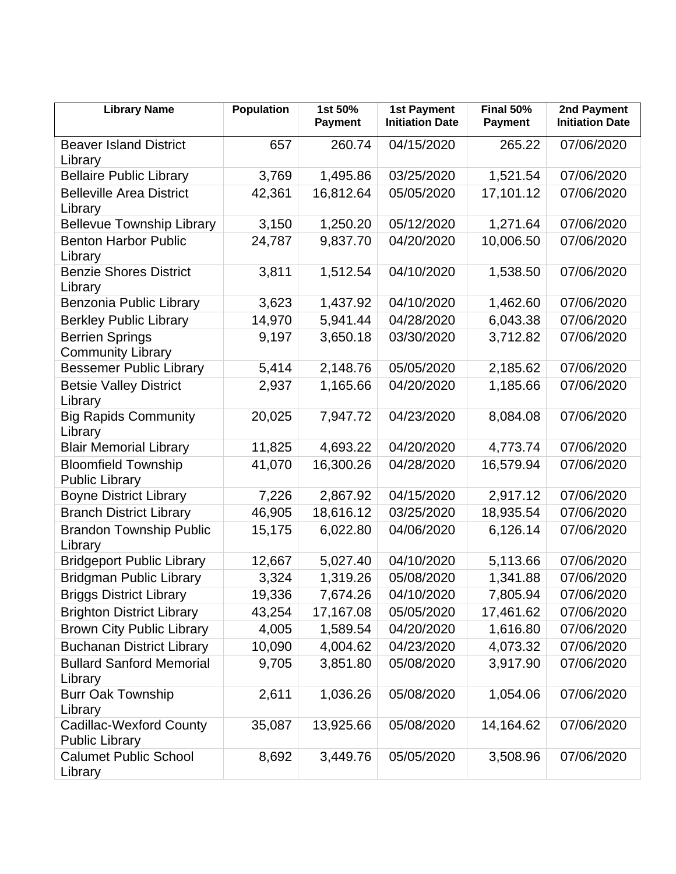| <b>Library Name</b>                                     | <b>Population</b> | 1st 50%<br><b>Payment</b> | <b>1st Payment</b><br><b>Initiation Date</b> | Final 50%<br><b>Payment</b> | 2nd Payment<br><b>Initiation Date</b> |
|---------------------------------------------------------|-------------------|---------------------------|----------------------------------------------|-----------------------------|---------------------------------------|
| <b>Beaver Island District</b><br>Library                | 657               | 260.74                    | 04/15/2020                                   | 265.22                      | 07/06/2020                            |
| <b>Bellaire Public Library</b>                          | 3,769             | 1,495.86                  | 03/25/2020                                   | 1,521.54                    | 07/06/2020                            |
| <b>Belleville Area District</b><br>Library              | 42,361            | 16,812.64                 | 05/05/2020                                   | 17,101.12                   | 07/06/2020                            |
| <b>Bellevue Township Library</b>                        | 3,150             | 1,250.20                  | 05/12/2020                                   | 1,271.64                    | 07/06/2020                            |
| <b>Benton Harbor Public</b><br>Library                  | 24,787            | 9,837.70                  | 04/20/2020                                   | 10,006.50                   | 07/06/2020                            |
| <b>Benzie Shores District</b><br>Library                | 3,811             | 1,512.54                  | 04/10/2020                                   | 1,538.50                    | 07/06/2020                            |
| Benzonia Public Library                                 | 3,623             | 1,437.92                  | 04/10/2020                                   | 1,462.60                    | 07/06/2020                            |
| <b>Berkley Public Library</b>                           | 14,970            | 5,941.44                  | 04/28/2020                                   | 6,043.38                    | 07/06/2020                            |
| <b>Berrien Springs</b><br><b>Community Library</b>      | 9,197             | 3,650.18                  | 03/30/2020                                   | 3,712.82                    | 07/06/2020                            |
| <b>Bessemer Public Library</b>                          | 5,414             | 2,148.76                  | 05/05/2020                                   | 2,185.62                    | 07/06/2020                            |
| <b>Betsie Valley District</b><br>Library                | 2,937             | 1,165.66                  | 04/20/2020                                   | 1,185.66                    | 07/06/2020                            |
| <b>Big Rapids Community</b><br>Library                  | 20,025            | 7,947.72                  | 04/23/2020                                   | 8,084.08                    | 07/06/2020                            |
| <b>Blair Memorial Library</b>                           | 11,825            | 4,693.22                  | 04/20/2020                                   | 4,773.74                    | 07/06/2020                            |
| <b>Bloomfield Township</b><br><b>Public Library</b>     | 41,070            | 16,300.26                 | 04/28/2020                                   | 16,579.94                   | 07/06/2020                            |
| <b>Boyne District Library</b>                           | 7,226             | 2,867.92                  | 04/15/2020                                   | 2,917.12                    | 07/06/2020                            |
| <b>Branch District Library</b>                          | 46,905            | 18,616.12                 | 03/25/2020                                   | 18,935.54                   | 07/06/2020                            |
| <b>Brandon Township Public</b><br>Library               | 15,175            | 6,022.80                  | 04/06/2020                                   | 6,126.14                    | 07/06/2020                            |
| <b>Bridgeport Public Library</b>                        | 12,667            | 5,027.40                  | 04/10/2020                                   | 5,113.66                    | 07/06/2020                            |
| <b>Bridgman Public Library</b>                          | 3,324             | 1,319.26                  | 05/08/2020                                   | 1,341.88                    | 07/06/2020                            |
| <b>Briggs District Library</b>                          | 19,336            | 7,674.26                  | 04/10/2020                                   | 7,805.94                    | 07/06/2020                            |
| <b>Brighton District Library</b>                        | 43,254            | 17,167.08                 | 05/05/2020                                   | 17,461.62                   | 07/06/2020                            |
| <b>Brown City Public Library</b>                        | 4,005             | 1,589.54                  | 04/20/2020                                   | 1,616.80                    | 07/06/2020                            |
| <b>Buchanan District Library</b>                        | 10,090            | 4,004.62                  | 04/23/2020                                   | 4,073.32                    | 07/06/2020                            |
| <b>Bullard Sanford Memorial</b><br>Library              | 9,705             | 3,851.80                  | 05/08/2020                                   | 3,917.90                    | 07/06/2020                            |
| <b>Burr Oak Township</b><br>Library                     | 2,611             | 1,036.26                  | 05/08/2020                                   | 1,054.06                    | 07/06/2020                            |
| <b>Cadillac-Wexford County</b><br><b>Public Library</b> | 35,087            | 13,925.66                 | 05/08/2020                                   | 14,164.62                   | 07/06/2020                            |
| <b>Calumet Public School</b><br>Library                 | 8,692             | 3,449.76                  | 05/05/2020                                   | 3,508.96                    | 07/06/2020                            |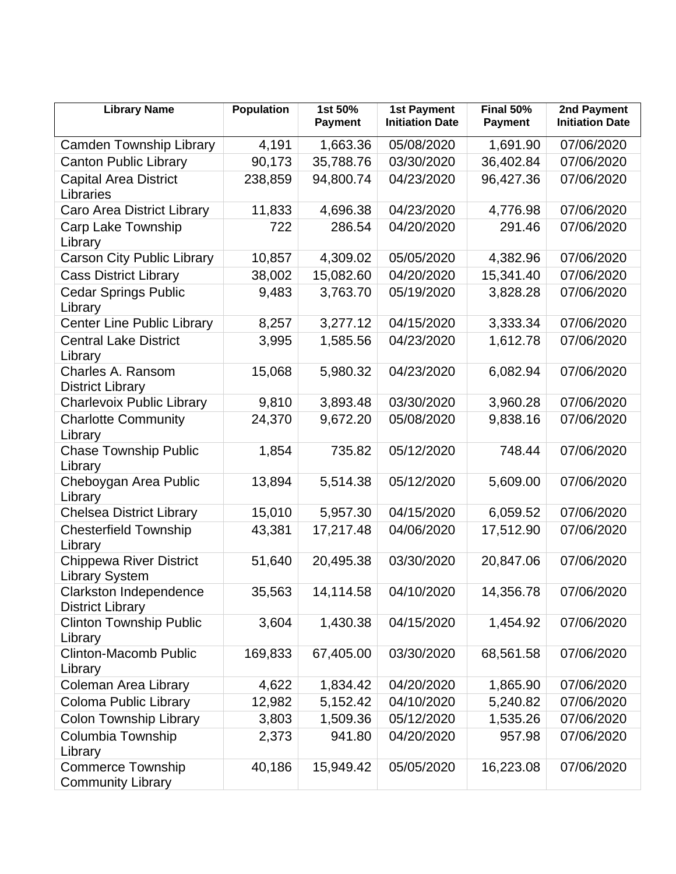| <b>Library Name</b>                                     | <b>Population</b> | 1st 50%<br><b>Payment</b> | <b>1st Payment</b><br><b>Initiation Date</b> | $Final$ 50%<br><b>Payment</b> | 2nd Payment<br><b>Initiation Date</b> |
|---------------------------------------------------------|-------------------|---------------------------|----------------------------------------------|-------------------------------|---------------------------------------|
| <b>Camden Township Library</b>                          | 4,191             | 1,663.36                  | 05/08/2020                                   | 1,691.90                      | 07/06/2020                            |
| <b>Canton Public Library</b>                            | 90,173            | 35,788.76                 | 03/30/2020                                   | 36,402.84                     | 07/06/2020                            |
| <b>Capital Area District</b><br>Libraries               | 238,859           | 94,800.74                 | 04/23/2020                                   | 96,427.36                     | 07/06/2020                            |
| Caro Area District Library                              | 11,833            | 4,696.38                  | 04/23/2020                                   | 4,776.98                      | 07/06/2020                            |
| <b>Carp Lake Township</b><br>Library                    | 722               | 286.54                    | 04/20/2020                                   | 291.46                        | 07/06/2020                            |
| <b>Carson City Public Library</b>                       | 10,857            | 4,309.02                  | 05/05/2020                                   | 4,382.96                      | 07/06/2020                            |
| <b>Cass District Library</b>                            | 38,002            | 15,082.60                 | 04/20/2020                                   | 15,341.40                     | 07/06/2020                            |
| <b>Cedar Springs Public</b><br>Library                  | 9,483             | 3,763.70                  | 05/19/2020                                   | 3,828.28                      | 07/06/2020                            |
| <b>Center Line Public Library</b>                       | 8,257             | 3,277.12                  | 04/15/2020                                   | 3,333.34                      | 07/06/2020                            |
| <b>Central Lake District</b><br>Library                 | 3,995             | 1,585.56                  | 04/23/2020                                   | 1,612.78                      | 07/06/2020                            |
| Charles A. Ransom<br><b>District Library</b>            | 15,068            | 5,980.32                  | 04/23/2020                                   | 6,082.94                      | 07/06/2020                            |
| <b>Charlevoix Public Library</b>                        | 9,810             | 3,893.48                  | 03/30/2020                                   | 3,960.28                      | 07/06/2020                            |
| <b>Charlotte Community</b><br>Library                   | 24,370            | 9,672.20                  | 05/08/2020                                   | 9,838.16                      | 07/06/2020                            |
| <b>Chase Township Public</b><br>Library                 | 1,854             | 735.82                    | 05/12/2020                                   | 748.44                        | 07/06/2020                            |
| Cheboygan Area Public<br>Library                        | 13,894            | 5,514.38                  | 05/12/2020                                   | 5,609.00                      | 07/06/2020                            |
| <b>Chelsea District Library</b>                         | 15,010            | 5,957.30                  | 04/15/2020                                   | 6,059.52                      | 07/06/2020                            |
| <b>Chesterfield Township</b><br>Library                 | 43,381            | 17,217.48                 | 04/06/2020                                   | 17,512.90                     | 07/06/2020                            |
| <b>Chippewa River District</b><br><b>Library System</b> | 51,640            | 20,495.38                 | 03/30/2020                                   | 20,847.06                     | 07/06/2020                            |
| Clarkston Independence<br><b>District Library</b>       | 35,563            | 14,114.58                 | 04/10/2020                                   | 14,356.78                     | 07/06/2020                            |
| <b>Clinton Township Public</b><br>Library               | 3,604             | 1,430.38                  | 04/15/2020                                   | 1,454.92                      | 07/06/2020                            |
| <b>Clinton-Macomb Public</b><br>Library                 | 169,833           | 67,405.00                 | 03/30/2020                                   | 68,561.58                     | 07/06/2020                            |
| <b>Coleman Area Library</b>                             | 4,622             | 1,834.42                  | 04/20/2020                                   | 1,865.90                      | 07/06/2020                            |
| Coloma Public Library                                   | 12,982            | 5,152.42                  | 04/10/2020                                   | 5,240.82                      | 07/06/2020                            |
| <b>Colon Township Library</b>                           | 3,803             | 1,509.36                  | 05/12/2020                                   | 1,535.26                      | 07/06/2020                            |
| Columbia Township<br>Library                            | 2,373             | 941.80                    | 04/20/2020                                   | 957.98                        | 07/06/2020                            |
| <b>Commerce Township</b><br><b>Community Library</b>    | 40,186            | 15,949.42                 | 05/05/2020                                   | 16,223.08                     | 07/06/2020                            |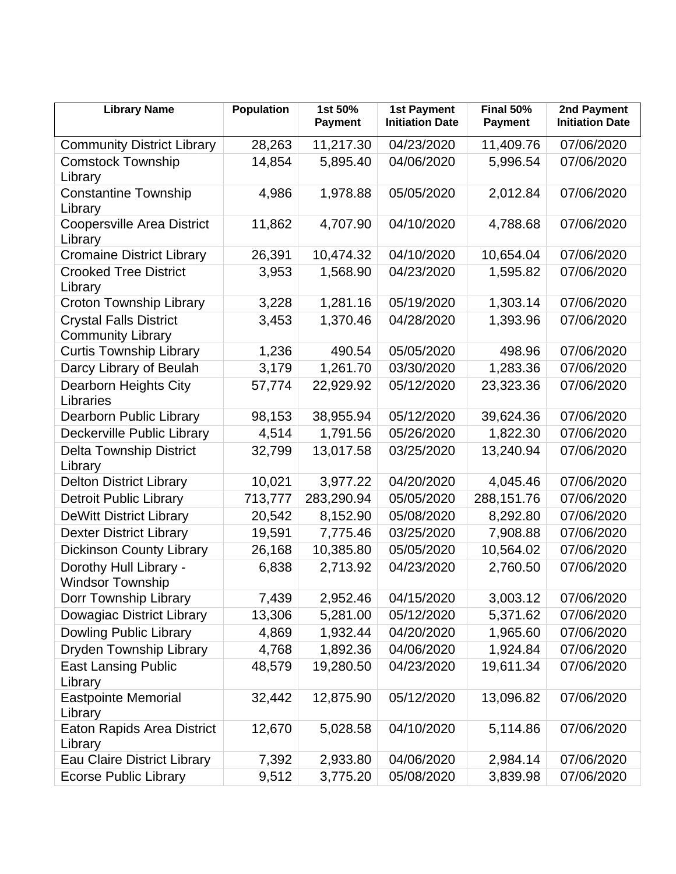| <b>Library Name</b>                                       | <b>Population</b> | 1st 50%<br><b>Payment</b> | <b>1st Payment</b><br><b>Initiation Date</b> | Final 50%<br><b>Payment</b> | 2nd Payment<br><b>Initiation Date</b> |
|-----------------------------------------------------------|-------------------|---------------------------|----------------------------------------------|-----------------------------|---------------------------------------|
| <b>Community District Library</b>                         | 28,263            | 11,217.30                 | 04/23/2020                                   | 11,409.76                   | 07/06/2020                            |
| <b>Comstock Township</b><br>Library                       | 14,854            | 5,895.40                  | 04/06/2020                                   | 5,996.54                    | 07/06/2020                            |
| <b>Constantine Township</b><br>Library                    | 4,986             | 1,978.88                  | 05/05/2020                                   | 2,012.84                    | 07/06/2020                            |
| <b>Coopersville Area District</b><br>Library              | 11,862            | 4,707.90                  | 04/10/2020                                   | 4,788.68                    | 07/06/2020                            |
| <b>Cromaine District Library</b>                          | 26,391            | 10,474.32                 | 04/10/2020                                   | 10,654.04                   | 07/06/2020                            |
| <b>Crooked Tree District</b><br>Library                   | 3,953             | 1,568.90                  | 04/23/2020                                   | 1,595.82                    | 07/06/2020                            |
| <b>Croton Township Library</b>                            | 3,228             | 1,281.16                  | 05/19/2020                                   | 1,303.14                    | 07/06/2020                            |
| <b>Crystal Falls District</b><br><b>Community Library</b> | 3,453             | 1,370.46                  | 04/28/2020                                   | 1,393.96                    | 07/06/2020                            |
| <b>Curtis Township Library</b>                            | 1,236             | 490.54                    | 05/05/2020                                   | 498.96                      | 07/06/2020                            |
| Darcy Library of Beulah                                   | 3,179             | 1,261.70                  | 03/30/2020                                   | 1,283.36                    | 07/06/2020                            |
| Dearborn Heights City<br>Libraries                        | 57,774            | 22,929.92                 | 05/12/2020                                   | 23,323.36                   | 07/06/2020                            |
| Dearborn Public Library                                   | 98,153            | 38,955.94                 | 05/12/2020                                   | 39,624.36                   | 07/06/2020                            |
| Deckerville Public Library                                | 4,514             | 1,791.56                  | 05/26/2020                                   | 1,822.30                    | 07/06/2020                            |
| <b>Delta Township District</b><br>Library                 | 32,799            | 13,017.58                 | 03/25/2020                                   | 13,240.94                   | 07/06/2020                            |
| <b>Delton District Library</b>                            | 10,021            | 3,977.22                  | 04/20/2020                                   | 4,045.46                    | 07/06/2020                            |
| <b>Detroit Public Library</b>                             | 713,777           | 283,290.94                | 05/05/2020                                   | 288,151.76                  | 07/06/2020                            |
| <b>DeWitt District Library</b>                            | 20,542            | 8,152.90                  | 05/08/2020                                   | 8,292.80                    | 07/06/2020                            |
| <b>Dexter District Library</b>                            | 19,591            | 7,775.46                  | 03/25/2020                                   | 7,908.88                    | 07/06/2020                            |
| <b>Dickinson County Library</b>                           | 26,168            | 10,385.80                 | 05/05/2020                                   | 10,564.02                   | 07/06/2020                            |
| Dorothy Hull Library -<br><b>Windsor Township</b>         | 6,838             | 2,713.92                  | 04/23/2020                                   | 2,760.50                    | 07/06/2020                            |
| Dorr Township Library                                     | 7,439             | 2,952.46                  | 04/15/2020                                   | 3,003.12                    | 07/06/2020                            |
| Dowagiac District Library                                 | 13,306            | 5,281.00                  | 05/12/2020                                   | 5,371.62                    | 07/06/2020                            |
| <b>Dowling Public Library</b>                             | 4,869             | 1,932.44                  | 04/20/2020                                   | 1,965.60                    | 07/06/2020                            |
| Dryden Township Library                                   | 4,768             | 1,892.36                  | 04/06/2020                                   | 1,924.84                    | 07/06/2020                            |
| <b>East Lansing Public</b><br>Library                     | 48,579            | 19,280.50                 | 04/23/2020                                   | 19,611.34                   | 07/06/2020                            |
| <b>Eastpointe Memorial</b><br>Library                     | 32,442            | 12,875.90                 | 05/12/2020                                   | 13,096.82                   | 07/06/2020                            |
| <b>Eaton Rapids Area District</b><br>Library              | 12,670            | 5,028.58                  | 04/10/2020                                   | 5,114.86                    | 07/06/2020                            |
| Eau Claire District Library                               | 7,392             | 2,933.80                  | 04/06/2020                                   | 2,984.14                    | 07/06/2020                            |
| <b>Ecorse Public Library</b>                              | 9,512             | 3,775.20                  | 05/08/2020                                   | 3,839.98                    | 07/06/2020                            |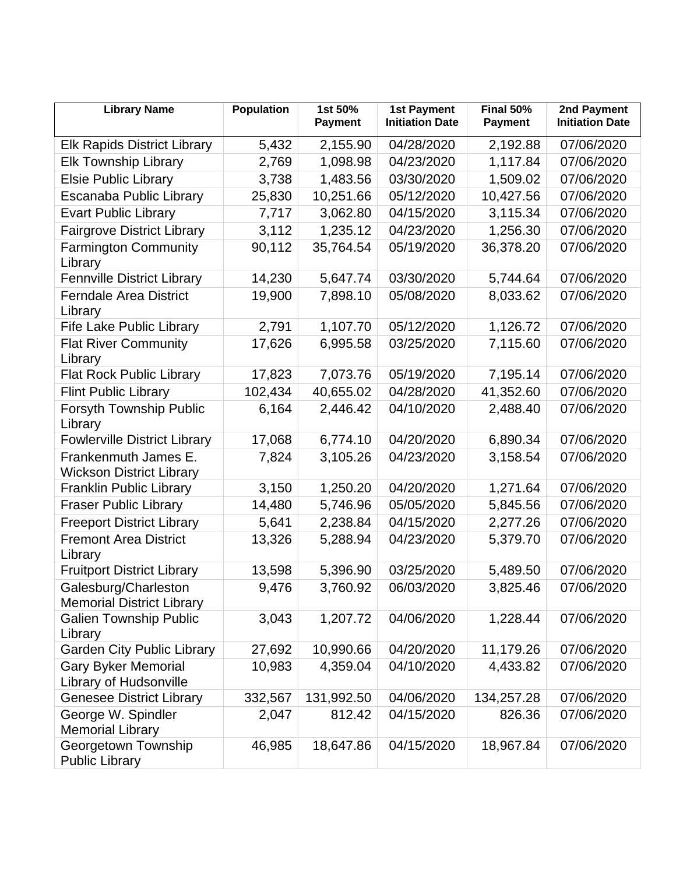| <b>Library Name</b>                                      | <b>Population</b> | 1st 50%<br><b>Payment</b> | <b>1st Payment</b><br><b>Initiation Date</b> | Final 50%<br><b>Payment</b> | 2nd Payment<br><b>Initiation Date</b> |
|----------------------------------------------------------|-------------------|---------------------------|----------------------------------------------|-----------------------------|---------------------------------------|
| <b>Elk Rapids District Library</b>                       | 5,432             | 2,155.90                  | 04/28/2020                                   | 2,192.88                    | 07/06/2020                            |
| <b>Elk Township Library</b>                              | 2,769             | 1,098.98                  | 04/23/2020                                   | 1,117.84                    | 07/06/2020                            |
| <b>Elsie Public Library</b>                              | 3,738             | 1,483.56                  | 03/30/2020                                   | 1,509.02                    | 07/06/2020                            |
| Escanaba Public Library                                  | 25,830            | 10,251.66                 | 05/12/2020                                   | 10,427.56                   | 07/06/2020                            |
| <b>Evart Public Library</b>                              | 7,717             | 3,062.80                  | 04/15/2020                                   | 3,115.34                    | 07/06/2020                            |
| <b>Fairgrove District Library</b>                        | 3,112             | 1,235.12                  | 04/23/2020                                   | 1,256.30                    | 07/06/2020                            |
| <b>Farmington Community</b><br>Library                   | 90,112            | 35,764.54                 | 05/19/2020                                   | 36,378.20                   | 07/06/2020                            |
| <b>Fennville District Library</b>                        | 14,230            | 5,647.74                  | 03/30/2020                                   | 5,744.64                    | 07/06/2020                            |
| <b>Ferndale Area District</b><br>Library                 | 19,900            | 7,898.10                  | 05/08/2020                                   | 8,033.62                    | 07/06/2020                            |
| <b>Fife Lake Public Library</b>                          | 2,791             | 1,107.70                  | 05/12/2020                                   | 1,126.72                    | 07/06/2020                            |
| <b>Flat River Community</b><br>Library                   | 17,626            | 6,995.58                  | 03/25/2020                                   | 7,115.60                    | 07/06/2020                            |
| <b>Flat Rock Public Library</b>                          | 17,823            | 7,073.76                  | 05/19/2020                                   | 7,195.14                    | 07/06/2020                            |
| <b>Flint Public Library</b>                              | 102,434           | 40,655.02                 | 04/28/2020                                   | 41,352.60                   | 07/06/2020                            |
| Forsyth Township Public<br>Library                       | 6,164             | 2,446.42                  | 04/10/2020                                   | 2,488.40                    | 07/06/2020                            |
| <b>Fowlerville District Library</b>                      | 17,068            | 6,774.10                  | 04/20/2020                                   | 6,890.34                    | 07/06/2020                            |
| Frankenmuth James E.<br><b>Wickson District Library</b>  | 7,824             | 3,105.26                  | 04/23/2020                                   | 3,158.54                    | 07/06/2020                            |
| <b>Franklin Public Library</b>                           | 3,150             | 1,250.20                  | 04/20/2020                                   | 1,271.64                    | 07/06/2020                            |
| <b>Fraser Public Library</b>                             | 14,480            | 5,746.96                  | 05/05/2020                                   | 5,845.56                    | 07/06/2020                            |
| <b>Freeport District Library</b>                         | 5,641             | 2,238.84                  | 04/15/2020                                   | 2,277.26                    | 07/06/2020                            |
| <b>Fremont Area District</b><br>Library                  | 13,326            | 5,288.94                  | 04/23/2020                                   | 5,379.70                    | 07/06/2020                            |
| <b>Fruitport District Library</b>                        | 13,598            | 5,396.90                  | 03/25/2020                                   | 5,489.50                    | 07/06/2020                            |
| Galesburg/Charleston<br><b>Memorial District Library</b> | 9,476             | 3,760.92                  | 06/03/2020                                   | 3,825.46                    | 07/06/2020                            |
| <b>Galien Township Public</b><br>Library                 | 3,043             | 1,207.72                  | 04/06/2020                                   | 1,228.44                    | 07/06/2020                            |
| <b>Garden City Public Library</b>                        | 27,692            | 10,990.66                 | 04/20/2020                                   | 11,179.26                   | 07/06/2020                            |
| <b>Gary Byker Memorial</b><br>Library of Hudsonville     | 10,983            | 4,359.04                  | 04/10/2020                                   | 4,433.82                    | 07/06/2020                            |
| <b>Genesee District Library</b>                          | 332,567           | 131,992.50                | 04/06/2020                                   | 134,257.28                  | 07/06/2020                            |
| George W. Spindler<br><b>Memorial Library</b>            | 2,047             | 812.42                    | 04/15/2020                                   | 826.36                      | 07/06/2020                            |
| Georgetown Township<br><b>Public Library</b>             | 46,985            | 18,647.86                 | 04/15/2020                                   | 18,967.84                   | 07/06/2020                            |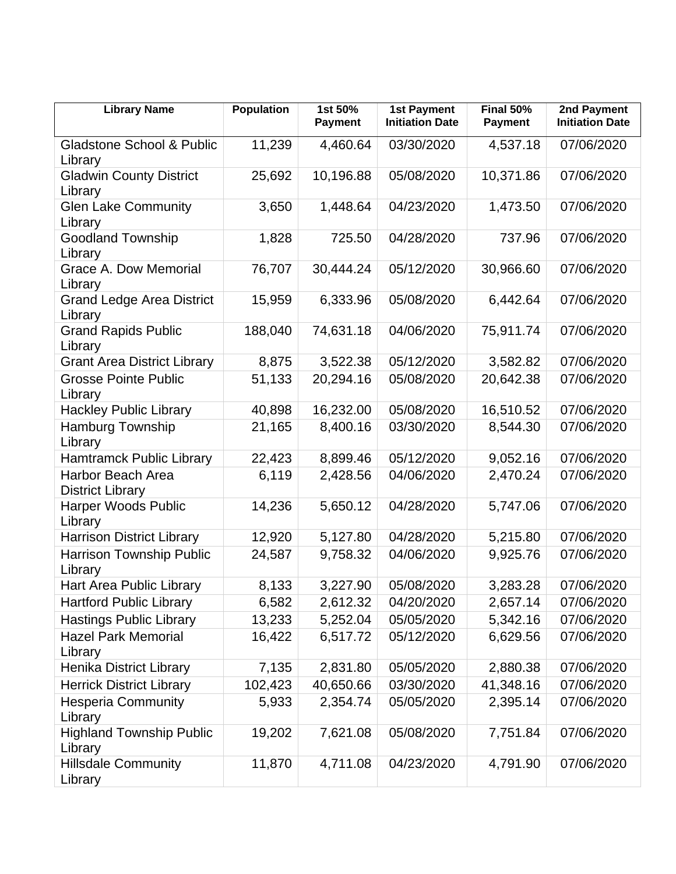| <b>Library Name</b>                                 | <b>Population</b> | 1st 50%<br><b>Payment</b> | <b>1st Payment</b><br><b>Initiation Date</b> | Final 50%<br><b>Payment</b> | 2nd Payment<br><b>Initiation Date</b> |
|-----------------------------------------------------|-------------------|---------------------------|----------------------------------------------|-----------------------------|---------------------------------------|
| <b>Gladstone School &amp; Public</b><br>Library     | 11,239            | 4,460.64                  | 03/30/2020                                   | 4,537.18                    | 07/06/2020                            |
| <b>Gladwin County District</b><br>Library           | 25,692            | 10,196.88                 | 05/08/2020                                   | 10,371.86                   | 07/06/2020                            |
| <b>Glen Lake Community</b><br>Library               | 3,650             | 1,448.64                  | 04/23/2020                                   | 1,473.50                    | 07/06/2020                            |
| <b>Goodland Township</b><br>Library                 | 1,828             | 725.50                    | 04/28/2020                                   | 737.96                      | 07/06/2020                            |
| <b>Grace A. Dow Memorial</b><br>Library             | 76,707            | 30,444.24                 | 05/12/2020                                   | 30,966.60                   | 07/06/2020                            |
| <b>Grand Ledge Area District</b><br>Library         | 15,959            | 6,333.96                  | 05/08/2020                                   | 6,442.64                    | 07/06/2020                            |
| <b>Grand Rapids Public</b><br>Library               | 188,040           | 74,631.18                 | 04/06/2020                                   | 75,911.74                   | 07/06/2020                            |
| <b>Grant Area District Library</b>                  | 8,875             | 3,522.38                  | 05/12/2020                                   | 3,582.82                    | 07/06/2020                            |
| <b>Grosse Pointe Public</b><br>Library              | 51,133            | 20,294.16                 | 05/08/2020                                   | 20,642.38                   | 07/06/2020                            |
| <b>Hackley Public Library</b>                       | 40,898            | 16,232.00                 | 05/08/2020                                   | 16,510.52                   | 07/06/2020                            |
| <b>Hamburg Township</b><br>Library                  | 21,165            | 8,400.16                  | 03/30/2020                                   | 8,544.30                    | 07/06/2020                            |
| <b>Hamtramck Public Library</b>                     | 22,423            | 8,899.46                  | 05/12/2020                                   | 9,052.16                    | 07/06/2020                            |
| <b>Harbor Beach Area</b><br><b>District Library</b> | 6,119             | 2,428.56                  | 04/06/2020                                   | 2,470.24                    | 07/06/2020                            |
| Harper Woods Public<br>Library                      | 14,236            | 5,650.12                  | 04/28/2020                                   | 5,747.06                    | 07/06/2020                            |
| <b>Harrison District Library</b>                    | 12,920            | 5,127.80                  | 04/28/2020                                   | 5,215.80                    | 07/06/2020                            |
| <b>Harrison Township Public</b><br>Library          | 24,587            | 9,758.32                  | 04/06/2020                                   | 9,925.76                    | 07/06/2020                            |
| Hart Area Public Library                            | 8,133             | 3,227.90                  | 05/08/2020                                   | 3,283.28                    | 07/06/2020                            |
| <b>Hartford Public Library</b>                      | 6,582             | 2,612.32                  | 04/20/2020                                   | 2,657.14                    | 07/06/2020                            |
| <b>Hastings Public Library</b>                      | 13,233            | 5,252.04                  | 05/05/2020                                   | 5,342.16                    | 07/06/2020                            |
| <b>Hazel Park Memorial</b><br>Library               | 16,422            | 6,517.72                  | 05/12/2020                                   | 6,629.56                    | 07/06/2020                            |
| <b>Henika District Library</b>                      | 7,135             | 2,831.80                  | 05/05/2020                                   | 2,880.38                    | 07/06/2020                            |
| <b>Herrick District Library</b>                     | 102,423           | 40,650.66                 | 03/30/2020                                   | 41,348.16                   | 07/06/2020                            |
| <b>Hesperia Community</b><br>Library                | 5,933             | 2,354.74                  | 05/05/2020                                   | 2,395.14                    | 07/06/2020                            |
| <b>Highland Township Public</b><br>Library          | 19,202            | 7,621.08                  | 05/08/2020                                   | 7,751.84                    | 07/06/2020                            |
| <b>Hillsdale Community</b><br>Library               | 11,870            | 4,711.08                  | 04/23/2020                                   | 4,791.90                    | 07/06/2020                            |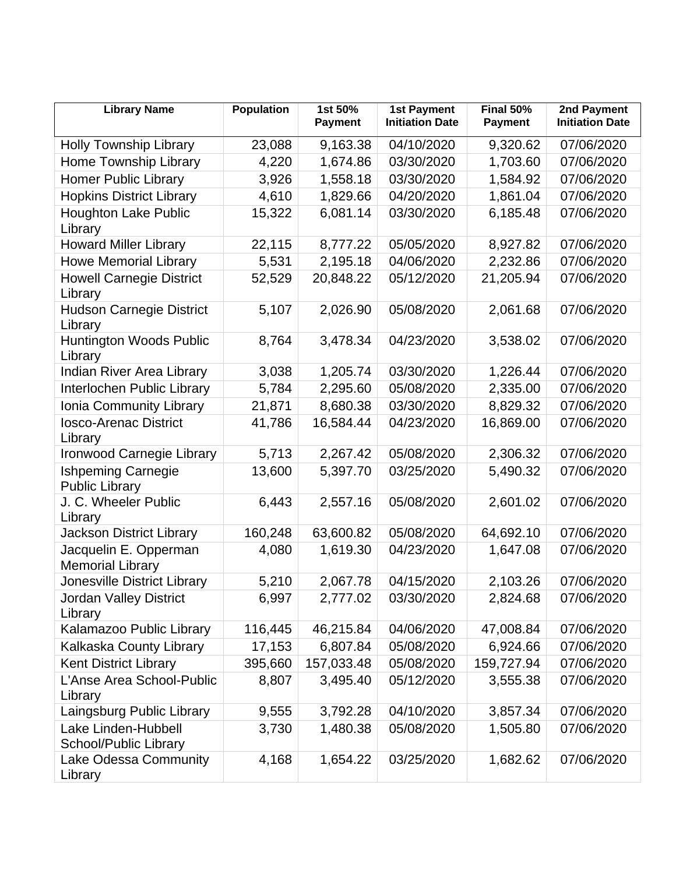| <b>Library Name</b>                                | <b>Population</b> | 1st 50%<br><b>Payment</b> | <b>1st Payment</b><br><b>Initiation Date</b> | Final 50%<br><b>Payment</b> | 2nd Payment<br><b>Initiation Date</b> |
|----------------------------------------------------|-------------------|---------------------------|----------------------------------------------|-----------------------------|---------------------------------------|
| <b>Holly Township Library</b>                      | 23,088            | 9,163.38                  | 04/10/2020                                   | 9,320.62                    | 07/06/2020                            |
| Home Township Library                              | 4,220             | 1,674.86                  | 03/30/2020                                   | 1,703.60                    | 07/06/2020                            |
| <b>Homer Public Library</b>                        | 3,926             | 1,558.18                  | 03/30/2020                                   | 1,584.92                    | 07/06/2020                            |
| <b>Hopkins District Library</b>                    | 4,610             | 1,829.66                  | 04/20/2020                                   | 1,861.04                    | 07/06/2020                            |
| <b>Houghton Lake Public</b><br>Library             | 15,322            | 6,081.14                  | 03/30/2020                                   | 6,185.48                    | 07/06/2020                            |
| <b>Howard Miller Library</b>                       | 22,115            | 8,777.22                  | 05/05/2020                                   | 8,927.82                    | 07/06/2020                            |
| <b>Howe Memorial Library</b>                       | 5,531             | 2,195.18                  | 04/06/2020                                   | 2,232.86                    | 07/06/2020                            |
| <b>Howell Carnegie District</b><br>Library         | 52,529            | 20,848.22                 | 05/12/2020                                   | 21,205.94                   | 07/06/2020                            |
| <b>Hudson Carnegie District</b><br>Library         | 5,107             | 2,026.90                  | 05/08/2020                                   | 2,061.68                    | 07/06/2020                            |
| <b>Huntington Woods Public</b><br>Library          | 8,764             | 3,478.34                  | 04/23/2020                                   | 3,538.02                    | 07/06/2020                            |
| Indian River Area Library                          | 3,038             | 1,205.74                  | 03/30/2020                                   | 1,226.44                    | 07/06/2020                            |
| Interlochen Public Library                         | 5,784             | 2,295.60                  | 05/08/2020                                   | 2,335.00                    | 07/06/2020                            |
| Ionia Community Library                            | 21,871            | 8,680.38                  | 03/30/2020                                   | 8,829.32                    | 07/06/2020                            |
| <b>losco-Arenac District</b><br>Library            | 41,786            | 16,584.44                 | 04/23/2020                                   | 16,869.00                   | 07/06/2020                            |
| Ironwood Carnegie Library                          | 5,713             | 2,267.42                  | 05/08/2020                                   | 2,306.32                    | 07/06/2020                            |
| <b>Ishpeming Carnegie</b><br><b>Public Library</b> | 13,600            | 5,397.70                  | 03/25/2020                                   | 5,490.32                    | 07/06/2020                            |
| J. C. Wheeler Public<br>Library                    | 6,443             | 2,557.16                  | 05/08/2020                                   | 2,601.02                    | 07/06/2020                            |
| <b>Jackson District Library</b>                    | 160,248           | 63,600.82                 | 05/08/2020                                   | 64,692.10                   | 07/06/2020                            |
| Jacquelin E. Opperman<br><b>Memorial Library</b>   | 4,080             | 1,619.30                  | 04/23/2020                                   | 1,647.08                    | 07/06/2020                            |
| Jonesville District Library                        | 5,210             | 2,067.78                  | 04/15/2020                                   | 2,103.26                    | 07/06/2020                            |
| <b>Jordan Valley District</b><br>Library           | 6,997             | 2,777.02                  | 03/30/2020                                   | 2,824.68                    | 07/06/2020                            |
| Kalamazoo Public Library                           | 116,445           | 46,215.84                 | 04/06/2020                                   | 47,008.84                   | 07/06/2020                            |
| Kalkaska County Library                            | 17,153            | 6,807.84                  | 05/08/2020                                   | 6,924.66                    | 07/06/2020                            |
| <b>Kent District Library</b>                       | 395,660           | 157,033.48                | 05/08/2020                                   | 159,727.94                  | 07/06/2020                            |
| L'Anse Area School-Public<br>Library               | 8,807             | 3,495.40                  | 05/12/2020                                   | 3,555.38                    | 07/06/2020                            |
| Laingsburg Public Library                          | 9,555             | 3,792.28                  | 04/10/2020                                   | 3,857.34                    | 07/06/2020                            |
| Lake Linden-Hubbell<br>School/Public Library       | 3,730             | 1,480.38                  | 05/08/2020                                   | 1,505.80                    | 07/06/2020                            |
| Lake Odessa Community<br>Library                   | 4,168             | 1,654.22                  | 03/25/2020                                   | 1,682.62                    | 07/06/2020                            |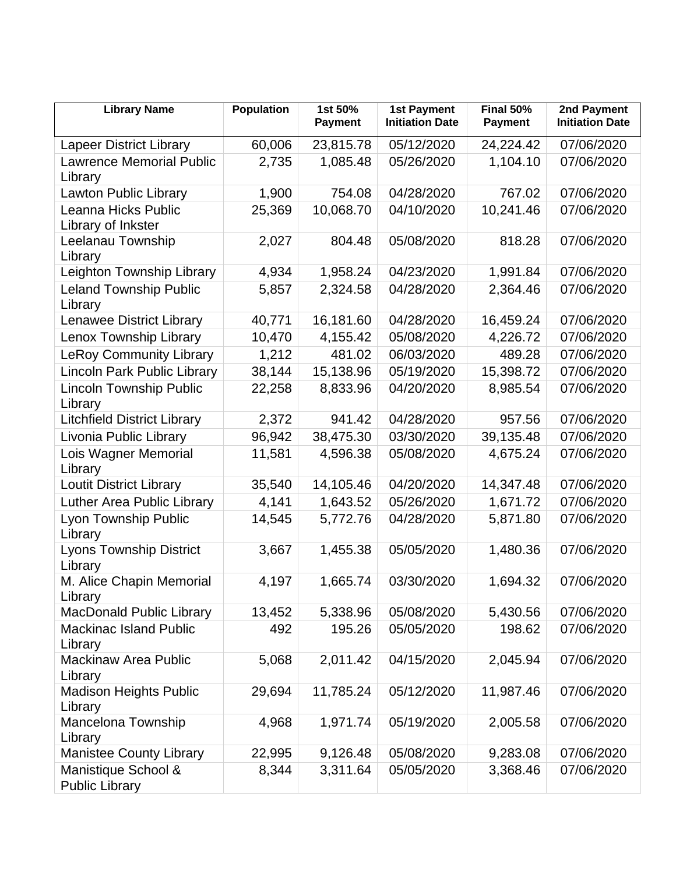| <b>Library Name</b>                          | <b>Population</b> | 1st 50%<br><b>Payment</b> | <b>1st Payment</b><br><b>Initiation Date</b> | Final 50%<br><b>Payment</b> | 2nd Payment<br><b>Initiation Date</b> |
|----------------------------------------------|-------------------|---------------------------|----------------------------------------------|-----------------------------|---------------------------------------|
| <b>Lapeer District Library</b>               | 60,006            | 23,815.78                 | 05/12/2020                                   | 24,224.42                   | 07/06/2020                            |
| <b>Lawrence Memorial Public</b><br>Library   | 2,735             | 1,085.48                  | 05/26/2020                                   | 1,104.10                    | 07/06/2020                            |
| <b>Lawton Public Library</b>                 | 1,900             | 754.08                    | 04/28/2020                                   | 767.02                      | 07/06/2020                            |
| Leanna Hicks Public<br>Library of Inkster    | 25,369            | 10,068.70                 | 04/10/2020                                   | 10,241.46                   | 07/06/2020                            |
| Leelanau Township<br>Library                 | 2,027             | 804.48                    | 05/08/2020                                   | 818.28                      | 07/06/2020                            |
| Leighton Township Library                    | 4,934             | 1,958.24                  | 04/23/2020                                   | 1,991.84                    | 07/06/2020                            |
| <b>Leland Township Public</b><br>Library     | 5,857             | 2,324.58                  | 04/28/2020                                   | 2,364.46                    | 07/06/2020                            |
| <b>Lenawee District Library</b>              | 40,771            | 16,181.60                 | 04/28/2020                                   | 16,459.24                   | 07/06/2020                            |
| Lenox Township Library                       | 10,470            | 4,155.42                  | 05/08/2020                                   | 4,226.72                    | 07/06/2020                            |
| <b>LeRoy Community Library</b>               | 1,212             | 481.02                    | 06/03/2020                                   | 489.28                      | 07/06/2020                            |
| Lincoln Park Public Library                  | 38,144            | 15,138.96                 | 05/19/2020                                   | 15,398.72                   | 07/06/2020                            |
| <b>Lincoln Township Public</b><br>Library    | 22,258            | 8,833.96                  | 04/20/2020                                   | 8,985.54                    | 07/06/2020                            |
| <b>Litchfield District Library</b>           | 2,372             | 941.42                    | 04/28/2020                                   | 957.56                      | 07/06/2020                            |
| Livonia Public Library                       | 96,942            | 38,475.30                 | 03/30/2020                                   | 39,135.48                   | 07/06/2020                            |
| Lois Wagner Memorial<br>Library              | 11,581            | 4,596.38                  | 05/08/2020                                   | 4,675.24                    | 07/06/2020                            |
| <b>Loutit District Library</b>               | 35,540            | 14,105.46                 | 04/20/2020                                   | 14,347.48                   | 07/06/2020                            |
| Luther Area Public Library                   | 4,141             | 1,643.52                  | 05/26/2020                                   | 1,671.72                    | 07/06/2020                            |
| Lyon Township Public<br>Library              | 14,545            | 5,772.76                  | 04/28/2020                                   | 5,871.80                    | 07/06/2020                            |
| <b>Lyons Township District</b><br>Library    | 3,667             | 1,455.38                  | 05/05/2020                                   | 1,480.36                    | 07/06/2020                            |
| M. Alice Chapin Memorial<br>Library          | 4,197             | 1,665.74                  | 03/30/2020                                   | 1,694.32                    | 07/06/2020                            |
| <b>MacDonald Public Library</b>              | 13,452            | 5,338.96                  | 05/08/2020                                   | 5,430.56                    | 07/06/2020                            |
| <b>Mackinac Island Public</b><br>Library     | 492               | 195.26                    | 05/05/2020                                   | 198.62                      | 07/06/2020                            |
| <b>Mackinaw Area Public</b><br>Library       | 5,068             | 2,011.42                  | 04/15/2020                                   | 2,045.94                    | 07/06/2020                            |
| <b>Madison Heights Public</b><br>Library     | 29,694            | 11,785.24                 | 05/12/2020                                   | 11,987.46                   | 07/06/2020                            |
| Mancelona Township<br>Library                | 4,968             | 1,971.74                  | 05/19/2020                                   | 2,005.58                    | 07/06/2020                            |
| <b>Manistee County Library</b>               | 22,995            | 9,126.48                  | 05/08/2020                                   | 9,283.08                    | 07/06/2020                            |
| Manistique School &<br><b>Public Library</b> | 8,344             | 3,311.64                  | 05/05/2020                                   | 3,368.46                    | 07/06/2020                            |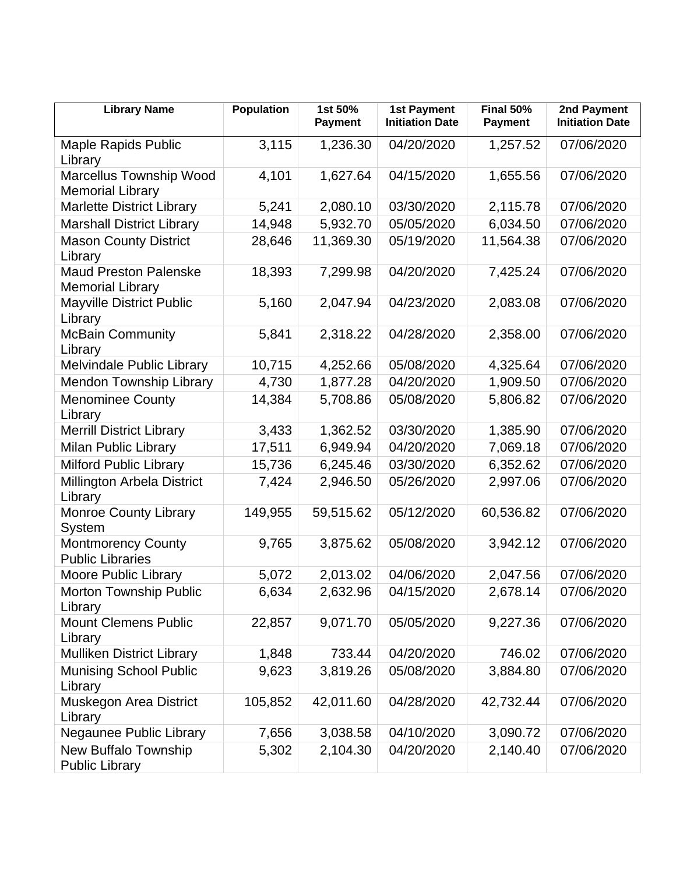| <b>Library Name</b>                                     | <b>Population</b> | 1st 50%<br><b>Payment</b> | <b>1st Payment</b><br><b>Initiation Date</b> | Final 50%<br><b>Payment</b> | 2nd Payment<br><b>Initiation Date</b> |
|---------------------------------------------------------|-------------------|---------------------------|----------------------------------------------|-----------------------------|---------------------------------------|
| <b>Maple Rapids Public</b><br>Library                   | 3,115             | 1,236.30                  | 04/20/2020                                   | 1,257.52                    | 07/06/2020                            |
| Marcellus Township Wood<br><b>Memorial Library</b>      | 4,101             | 1,627.64                  | 04/15/2020                                   | 1,655.56                    | 07/06/2020                            |
| <b>Marlette District Library</b>                        | 5,241             | 2,080.10                  | 03/30/2020                                   | 2,115.78                    | 07/06/2020                            |
| <b>Marshall District Library</b>                        | 14,948            | 5,932.70                  | 05/05/2020                                   | 6,034.50                    | 07/06/2020                            |
| <b>Mason County District</b><br>Library                 | 28,646            | 11,369.30                 | 05/19/2020                                   | 11,564.38                   | 07/06/2020                            |
| <b>Maud Preston Palenske</b><br><b>Memorial Library</b> | 18,393            | 7,299.98                  | 04/20/2020                                   | 7,425.24                    | 07/06/2020                            |
| <b>Mayville District Public</b><br>Library              | 5,160             | 2,047.94                  | 04/23/2020                                   | 2,083.08                    | 07/06/2020                            |
| <b>McBain Community</b><br>Library                      | 5,841             | 2,318.22                  | 04/28/2020                                   | 2,358.00                    | 07/06/2020                            |
| Melvindale Public Library                               | 10,715            | 4,252.66                  | 05/08/2020                                   | 4,325.64                    | 07/06/2020                            |
| <b>Mendon Township Library</b>                          | 4,730             | 1,877.28                  | 04/20/2020                                   | 1,909.50                    | 07/06/2020                            |
| <b>Menominee County</b><br>Library                      | 14,384            | 5,708.86                  | 05/08/2020                                   | 5,806.82                    | 07/06/2020                            |
| <b>Merrill District Library</b>                         | 3,433             | 1,362.52                  | 03/30/2020                                   | 1,385.90                    | 07/06/2020                            |
| Milan Public Library                                    | 17,511            | 6,949.94                  | 04/20/2020                                   | 7,069.18                    | 07/06/2020                            |
| <b>Milford Public Library</b>                           | 15,736            | 6,245.46                  | 03/30/2020                                   | 6,352.62                    | 07/06/2020                            |
| Millington Arbela District<br>Library                   | 7,424             | 2,946.50                  | 05/26/2020                                   | 2,997.06                    | 07/06/2020                            |
| <b>Monroe County Library</b><br>System                  | 149,955           | 59,515.62                 | 05/12/2020                                   | 60,536.82                   | 07/06/2020                            |
| <b>Montmorency County</b><br><b>Public Libraries</b>    | 9,765             | 3,875.62                  | 05/08/2020                                   | 3,942.12                    | 07/06/2020                            |
| <b>Moore Public Library</b>                             | 5,072             | 2,013.02                  | 04/06/2020                                   | 2,047.56                    | 07/06/2020                            |
| Morton Township Public<br>Library                       | 6,634             | 2,632.96                  | 04/15/2020                                   | 2,678.14                    | 07/06/2020                            |
| <b>Mount Clemens Public</b><br>Library                  | 22,857            | 9,071.70                  | 05/05/2020                                   | 9,227.36                    | 07/06/2020                            |
| <b>Mulliken District Library</b>                        | 1,848             | 733.44                    | 04/20/2020                                   | 746.02                      | 07/06/2020                            |
| <b>Munising School Public</b><br>Library                | 9,623             | 3,819.26                  | 05/08/2020                                   | 3,884.80                    | 07/06/2020                            |
| Muskegon Area District<br>Library                       | 105,852           | 42,011.60                 | 04/28/2020                                   | 42,732.44                   | 07/06/2020                            |
| Negaunee Public Library                                 | 7,656             | 3,038.58                  | 04/10/2020                                   | 3,090.72                    | 07/06/2020                            |
| New Buffalo Township<br><b>Public Library</b>           | 5,302             | 2,104.30                  | 04/20/2020                                   | 2,140.40                    | 07/06/2020                            |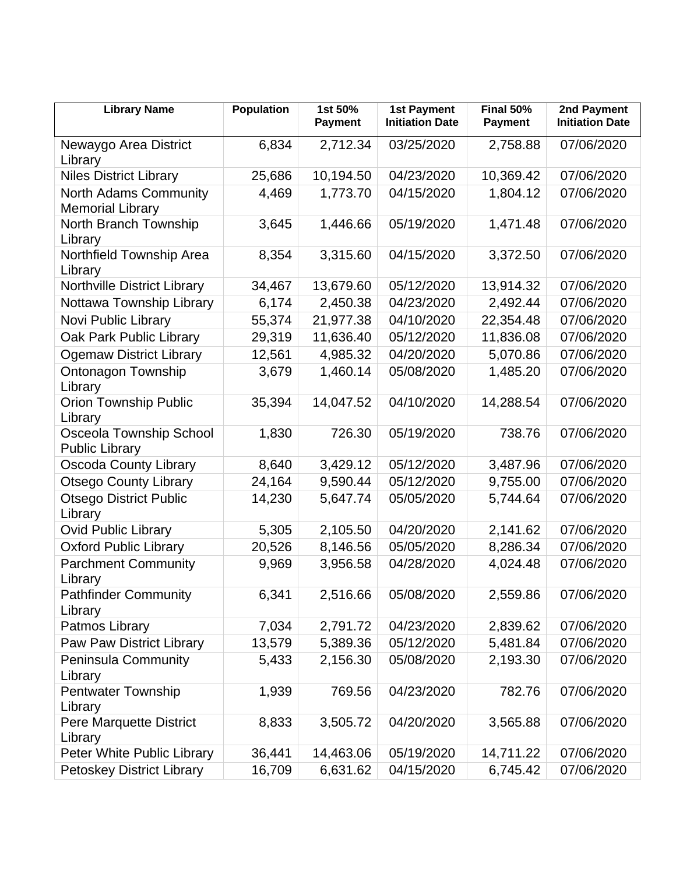| <b>Library Name</b>                                     | <b>Population</b> | 1st 50%<br><b>Payment</b> | <b>1st Payment</b><br><b>Initiation Date</b> | <b>Final 50%</b><br><b>Payment</b> | 2nd Payment<br><b>Initiation Date</b> |
|---------------------------------------------------------|-------------------|---------------------------|----------------------------------------------|------------------------------------|---------------------------------------|
| Newaygo Area District<br>Library                        | 6,834             | 2,712.34                  | 03/25/2020                                   | 2,758.88                           | 07/06/2020                            |
| <b>Niles District Library</b>                           | 25,686            | 10,194.50                 | 04/23/2020                                   | 10,369.42                          | 07/06/2020                            |
| North Adams Community<br><b>Memorial Library</b>        | 4,469             | 1,773.70                  | 04/15/2020                                   | 1,804.12                           | 07/06/2020                            |
| North Branch Township<br>Library                        | 3,645             | 1,446.66                  | 05/19/2020                                   | 1,471.48                           | 07/06/2020                            |
| Northfield Township Area<br>Library                     | 8,354             | 3,315.60                  | 04/15/2020                                   | 3,372.50                           | 07/06/2020                            |
| <b>Northville District Library</b>                      | 34,467            | 13,679.60                 | 05/12/2020                                   | 13,914.32                          | 07/06/2020                            |
| Nottawa Township Library                                | 6,174             | 2,450.38                  | 04/23/2020                                   | 2,492.44                           | 07/06/2020                            |
| Novi Public Library                                     | 55,374            | 21,977.38                 | 04/10/2020                                   | 22,354.48                          | 07/06/2020                            |
| Oak Park Public Library                                 | 29,319            | 11,636.40                 | 05/12/2020                                   | 11,836.08                          | 07/06/2020                            |
| <b>Ogemaw District Library</b>                          | 12,561            | 4,985.32                  | 04/20/2020                                   | 5,070.86                           | 07/06/2020                            |
| <b>Ontonagon Township</b><br>Library                    | 3,679             | 1,460.14                  | 05/08/2020                                   | 1,485.20                           | 07/06/2020                            |
| <b>Orion Township Public</b><br>Library                 | 35,394            | 14,047.52                 | 04/10/2020                                   | 14,288.54                          | 07/06/2020                            |
| <b>Osceola Township School</b><br><b>Public Library</b> | 1,830             | 726.30                    | 05/19/2020                                   | 738.76                             | 07/06/2020                            |
| <b>Oscoda County Library</b>                            | 8,640             | 3,429.12                  | 05/12/2020                                   | 3,487.96                           | 07/06/2020                            |
| <b>Otsego County Library</b>                            | 24,164            | 9,590.44                  | 05/12/2020                                   | 9,755.00                           | 07/06/2020                            |
| <b>Otsego District Public</b><br>Library                | 14,230            | 5,647.74                  | 05/05/2020                                   | 5,744.64                           | 07/06/2020                            |
| <b>Ovid Public Library</b>                              | 5,305             | 2,105.50                  | 04/20/2020                                   | 2,141.62                           | 07/06/2020                            |
| <b>Oxford Public Library</b>                            | 20,526            | 8,146.56                  | 05/05/2020                                   | 8,286.34                           | 07/06/2020                            |
| <b>Parchment Community</b><br>Library                   | 9,969             | 3,956.58                  | 04/28/2020                                   | 4,024.48                           | 07/06/2020                            |
| <b>Pathfinder Community</b><br>Library                  | 6,341             | 2,516.66                  | 05/08/2020                                   | 2,559.86                           | 07/06/2020                            |
| Patmos Library                                          | 7,034             | 2,791.72                  | 04/23/2020                                   | 2,839.62                           | 07/06/2020                            |
| <b>Paw Paw District Library</b>                         | 13,579            | 5,389.36                  | 05/12/2020                                   | 5,481.84                           | 07/06/2020                            |
| <b>Peninsula Community</b><br>Library                   | 5,433             | 2,156.30                  | 05/08/2020                                   | 2,193.30                           | 07/06/2020                            |
| Pentwater Township<br>Library                           | 1,939             | 769.56                    | 04/23/2020                                   | 782.76                             | 07/06/2020                            |
| Pere Marquette District<br>Library                      | 8,833             | 3,505.72                  | 04/20/2020                                   | 3,565.88                           | 07/06/2020                            |
| Peter White Public Library                              | 36,441            | 14,463.06                 | 05/19/2020                                   | 14,711.22                          | 07/06/2020                            |
| <b>Petoskey District Library</b>                        | 16,709            | 6,631.62                  | 04/15/2020                                   | 6,745.42                           | 07/06/2020                            |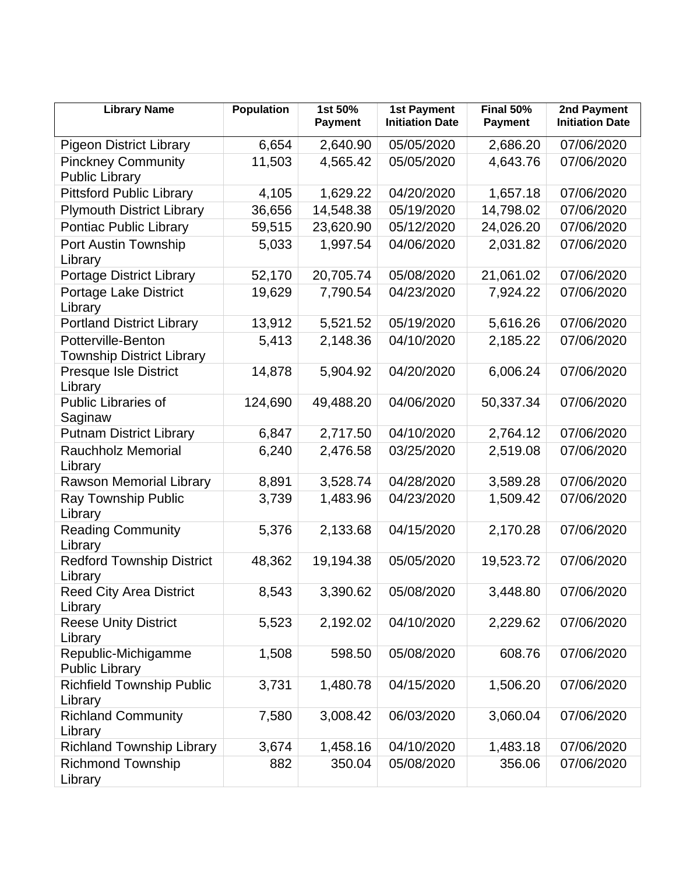| <b>Library Name</b>                                    | <b>Population</b> | 1st 50%<br><b>Payment</b> | <b>1st Payment</b><br><b>Initiation Date</b> | Final 50%<br><b>Payment</b> | 2nd Payment<br><b>Initiation Date</b> |
|--------------------------------------------------------|-------------------|---------------------------|----------------------------------------------|-----------------------------|---------------------------------------|
| <b>Pigeon District Library</b>                         | 6,654             | 2,640.90                  | 05/05/2020                                   | 2,686.20                    | 07/06/2020                            |
| <b>Pinckney Community</b><br><b>Public Library</b>     | 11,503            | 4,565.42                  | 05/05/2020                                   | 4,643.76                    | 07/06/2020                            |
| <b>Pittsford Public Library</b>                        | 4,105             | 1,629.22                  | 04/20/2020                                   | 1,657.18                    | 07/06/2020                            |
| <b>Plymouth District Library</b>                       | 36,656            | 14,548.38                 | 05/19/2020                                   | 14,798.02                   | 07/06/2020                            |
| Pontiac Public Library                                 | 59,515            | 23,620.90                 | 05/12/2020                                   | 24,026.20                   | 07/06/2020                            |
| Port Austin Township<br>Library                        | 5,033             | 1,997.54                  | 04/06/2020                                   | 2,031.82                    | 07/06/2020                            |
| <b>Portage District Library</b>                        | 52,170            | 20,705.74                 | 05/08/2020                                   | 21,061.02                   | 07/06/2020                            |
| <b>Portage Lake District</b><br>Library                | 19,629            | 7,790.54                  | 04/23/2020                                   | 7,924.22                    | 07/06/2020                            |
| <b>Portland District Library</b>                       | 13,912            | 5,521.52                  | 05/19/2020                                   | 5,616.26                    | 07/06/2020                            |
| Potterville-Benton<br><b>Township District Library</b> | 5,413             | 2,148.36                  | 04/10/2020                                   | 2,185.22                    | 07/06/2020                            |
| <b>Presque Isle District</b><br>Library                | 14,878            | 5,904.92                  | 04/20/2020                                   | 6,006.24                    | 07/06/2020                            |
| <b>Public Libraries of</b><br>Saginaw                  | 124,690           | 49,488.20                 | 04/06/2020                                   | 50,337.34                   | 07/06/2020                            |
| <b>Putnam District Library</b>                         | 6,847             | 2,717.50                  | 04/10/2020                                   | 2,764.12                    | 07/06/2020                            |
| <b>Rauchholz Memorial</b><br>Library                   | 6,240             | 2,476.58                  | 03/25/2020                                   | 2,519.08                    | 07/06/2020                            |
| Rawson Memorial Library                                | 8,891             | 3,528.74                  | 04/28/2020                                   | 3,589.28                    | 07/06/2020                            |
| Ray Township Public<br>Library                         | 3,739             | 1,483.96                  | 04/23/2020                                   | 1,509.42                    | 07/06/2020                            |
| <b>Reading Community</b><br>Library                    | 5,376             | 2,133.68                  | 04/15/2020                                   | 2,170.28                    | 07/06/2020                            |
| <b>Redford Township District</b><br>Library            | 48,362            | 19,194.38                 | 05/05/2020                                   | 19,523.72                   | 07/06/2020                            |
| <b>Reed City Area District</b><br>Library              | 8,543             | 3,390.62                  | 05/08/2020                                   | 3,448.80                    | 07/06/2020                            |
| <b>Reese Unity District</b><br>Library                 | 5,523             | 2,192.02                  | 04/10/2020                                   | 2,229.62                    | 07/06/2020                            |
| Republic-Michigamme<br><b>Public Library</b>           | 1,508             | 598.50                    | 05/08/2020                                   | 608.76                      | 07/06/2020                            |
| <b>Richfield Township Public</b><br>Library            | 3,731             | 1,480.78                  | 04/15/2020                                   | 1,506.20                    | 07/06/2020                            |
| <b>Richland Community</b><br>Library                   | 7,580             | 3,008.42                  | 06/03/2020                                   | 3,060.04                    | 07/06/2020                            |
| <b>Richland Township Library</b>                       | 3,674             | 1,458.16                  | 04/10/2020                                   | 1,483.18                    | 07/06/2020                            |
| <b>Richmond Township</b><br>Library                    | 882               | 350.04                    | 05/08/2020                                   | 356.06                      | 07/06/2020                            |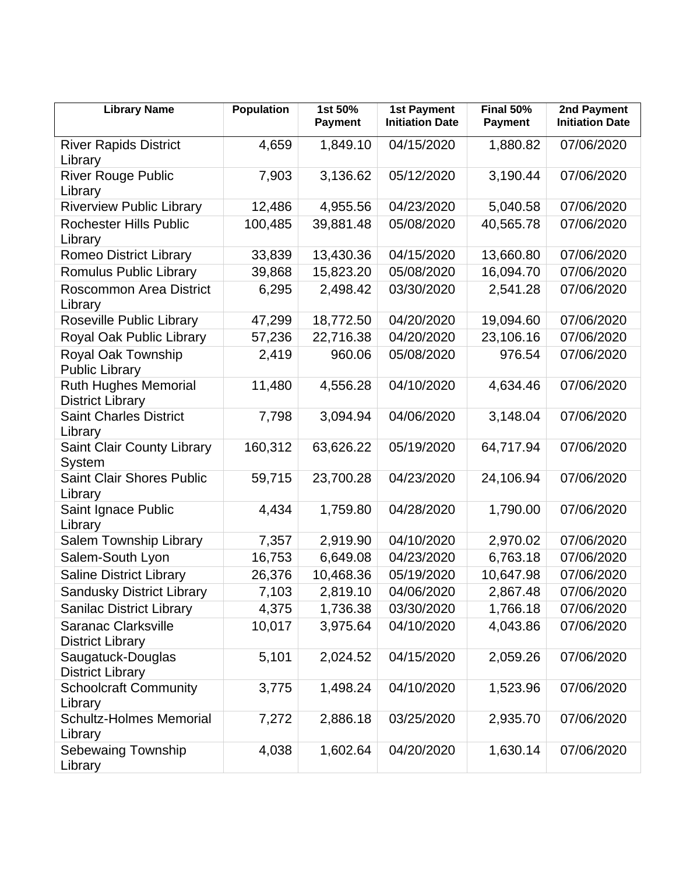| <b>Library Name</b>                                    | <b>Population</b> | 1st 50%<br><b>Payment</b> | <b>1st Payment</b><br><b>Initiation Date</b> | Final 50%<br><b>Payment</b> | 2nd Payment<br><b>Initiation Date</b> |
|--------------------------------------------------------|-------------------|---------------------------|----------------------------------------------|-----------------------------|---------------------------------------|
| <b>River Rapids District</b><br>Library                | 4,659             | 1,849.10                  | 04/15/2020                                   | 1,880.82                    | 07/06/2020                            |
| <b>River Rouge Public</b><br>Library                   | 7,903             | 3,136.62                  | 05/12/2020                                   | 3,190.44                    | 07/06/2020                            |
| <b>Riverview Public Library</b>                        | 12,486            | 4,955.56                  | 04/23/2020                                   | 5,040.58                    | 07/06/2020                            |
| <b>Rochester Hills Public</b><br>Library               | 100,485           | 39,881.48                 | 05/08/2020                                   | 40,565.78                   | 07/06/2020                            |
| <b>Romeo District Library</b>                          | 33,839            | 13,430.36                 | 04/15/2020                                   | 13,660.80                   | 07/06/2020                            |
| Romulus Public Library                                 | 39,868            | 15,823.20                 | 05/08/2020                                   | 16,094.70                   | 07/06/2020                            |
| <b>Roscommon Area District</b><br>Library              | 6,295             | 2,498.42                  | 03/30/2020                                   | 2,541.28                    | 07/06/2020                            |
| Roseville Public Library                               | 47,299            | 18,772.50                 | 04/20/2020                                   | 19,094.60                   | 07/06/2020                            |
| Royal Oak Public Library                               | 57,236            | 22,716.38                 | 04/20/2020                                   | 23,106.16                   | 07/06/2020                            |
| Royal Oak Township<br><b>Public Library</b>            | 2,419             | 960.06                    | 05/08/2020                                   | 976.54                      | 07/06/2020                            |
| <b>Ruth Hughes Memorial</b><br><b>District Library</b> | 11,480            | 4,556.28                  | 04/10/2020                                   | 4,634.46                    | 07/06/2020                            |
| <b>Saint Charles District</b><br>Library               | 7,798             | 3,094.94                  | 04/06/2020                                   | 3,148.04                    | 07/06/2020                            |
| <b>Saint Clair County Library</b><br><b>System</b>     | 160,312           | 63,626.22                 | 05/19/2020                                   | 64,717.94                   | 07/06/2020                            |
| <b>Saint Clair Shores Public</b><br>Library            | 59,715            | 23,700.28                 | 04/23/2020                                   | 24,106.94                   | 07/06/2020                            |
| Saint Ignace Public<br>Library                         | 4,434             | 1,759.80                  | 04/28/2020                                   | 1,790.00                    | 07/06/2020                            |
| Salem Township Library                                 | 7,357             | 2,919.90                  | 04/10/2020                                   | 2,970.02                    | 07/06/2020                            |
| Salem-South Lyon                                       | 16,753            | 6,649.08                  | 04/23/2020                                   | 6,763.18                    | 07/06/2020                            |
| <b>Saline District Library</b>                         | 26,376            | 10,468.36                 | 05/19/2020                                   | 10,647.98                   | 07/06/2020                            |
| <b>Sandusky District Library</b>                       | 7,103             | 2,819.10                  | 04/06/2020                                   | 2,867.48                    | 07/06/2020                            |
| <b>Sanilac District Library</b>                        | 4,375             | 1,736.38                  | 03/30/2020                                   | 1,766.18                    | 07/06/2020                            |
| <b>Saranac Clarksville</b><br><b>District Library</b>  | 10,017            | 3,975.64                  | 04/10/2020                                   | 4,043.86                    | 07/06/2020                            |
| Saugatuck-Douglas<br><b>District Library</b>           | 5,101             | 2,024.52                  | 04/15/2020                                   | 2,059.26                    | 07/06/2020                            |
| <b>Schoolcraft Community</b><br>Library                | 3,775             | 1,498.24                  | 04/10/2020                                   | 1,523.96                    | 07/06/2020                            |
| <b>Schultz-Holmes Memorial</b><br>Library              | 7,272             | 2,886.18                  | 03/25/2020                                   | 2,935.70                    | 07/06/2020                            |
| <b>Sebewaing Township</b><br>Library                   | 4,038             | 1,602.64                  | 04/20/2020                                   | 1,630.14                    | 07/06/2020                            |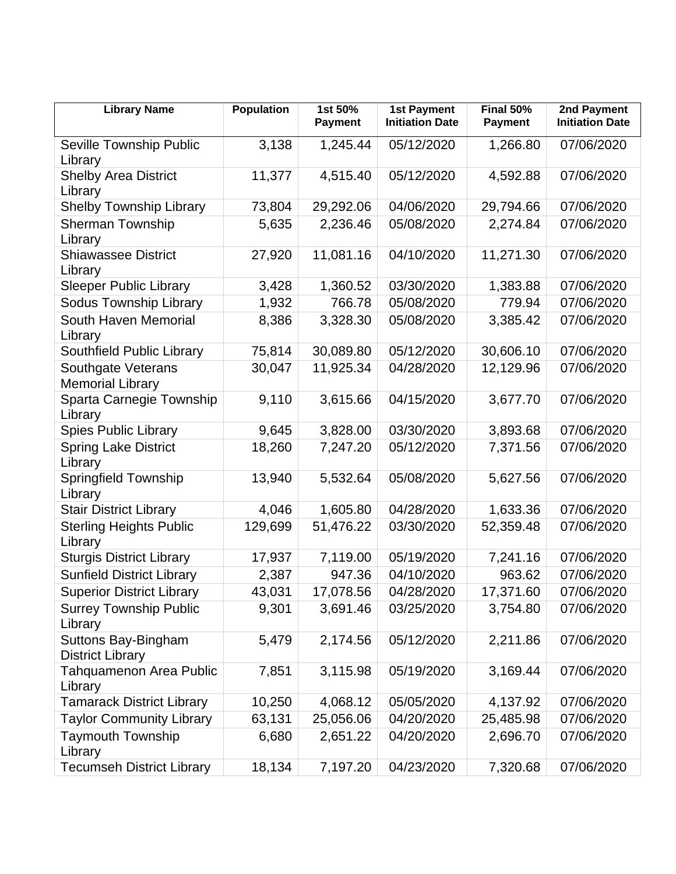| <b>Library Name</b>                            | Population | 1st 50%<br><b>Payment</b> | <b>1st Payment</b><br><b>Initiation Date</b> | <b>Final 50%</b><br><b>Payment</b> | 2nd Payment<br><b>Initiation Date</b> |
|------------------------------------------------|------------|---------------------------|----------------------------------------------|------------------------------------|---------------------------------------|
| Seville Township Public<br>Library             | 3,138      | 1,245.44                  | 05/12/2020                                   | 1,266.80                           | 07/06/2020                            |
| <b>Shelby Area District</b><br>Library         | 11,377     | 4,515.40                  | 05/12/2020                                   | 4,592.88                           | 07/06/2020                            |
| <b>Shelby Township Library</b>                 | 73,804     | 29,292.06                 | 04/06/2020                                   | 29,794.66                          | 07/06/2020                            |
| <b>Sherman Township</b><br>Library             | 5,635      | 2,236.46                  | 05/08/2020                                   | 2,274.84                           | 07/06/2020                            |
| <b>Shiawassee District</b><br>Library          | 27,920     | 11,081.16                 | 04/10/2020                                   | 11,271.30                          | 07/06/2020                            |
| <b>Sleeper Public Library</b>                  | 3,428      | 1,360.52                  | 03/30/2020                                   | 1,383.88                           | 07/06/2020                            |
| <b>Sodus Township Library</b>                  | 1,932      | 766.78                    | 05/08/2020                                   | 779.94                             | 07/06/2020                            |
| South Haven Memorial<br>Library                | 8,386      | 3,328.30                  | 05/08/2020                                   | 3,385.42                           | 07/06/2020                            |
| Southfield Public Library                      | 75,814     | 30,089.80                 | 05/12/2020                                   | 30,606.10                          | 07/06/2020                            |
| Southgate Veterans<br><b>Memorial Library</b>  | 30,047     | 11,925.34                 | 04/28/2020                                   | 12,129.96                          | 07/06/2020                            |
| Sparta Carnegie Township<br>Library            | 9,110      | 3,615.66                  | 04/15/2020                                   | 3,677.70                           | 07/06/2020                            |
| <b>Spies Public Library</b>                    | 9,645      | 3,828.00                  | 03/30/2020                                   | 3,893.68                           | 07/06/2020                            |
| <b>Spring Lake District</b><br>Library         | 18,260     | 7,247.20                  | 05/12/2020                                   | 7,371.56                           | 07/06/2020                            |
| <b>Springfield Township</b><br>Library         | 13,940     | 5,532.64                  | 05/08/2020                                   | 5,627.56                           | 07/06/2020                            |
| <b>Stair District Library</b>                  | 4,046      | 1,605.80                  | 04/28/2020                                   | 1,633.36                           | 07/06/2020                            |
| <b>Sterling Heights Public</b><br>Library      | 129,699    | 51,476.22                 | 03/30/2020                                   | 52,359.48                          | 07/06/2020                            |
| <b>Sturgis District Library</b>                | 17,937     | 7,119.00                  | 05/19/2020                                   | 7,241.16                           | 07/06/2020                            |
| <b>Sunfield District Library</b>               | 2,387      | 947.36                    | 04/10/2020                                   | 963.62                             | 07/06/2020                            |
| <b>Superior District Library</b>               | 43,031     | 17,078.56                 | 04/28/2020                                   | 17,371.60                          | 07/06/2020                            |
| <b>Surrey Township Public</b><br>Library       | 9,301      | 3,691.46                  | 03/25/2020                                   | 3,754.80                           | 07/06/2020                            |
| Suttons Bay-Bingham<br><b>District Library</b> | 5,479      | 2,174.56                  | 05/12/2020                                   | 2,211.86                           | 07/06/2020                            |
| Tahquamenon Area Public<br>Library             | 7,851      | 3,115.98                  | 05/19/2020                                   | 3,169.44                           | 07/06/2020                            |
| <b>Tamarack District Library</b>               | 10,250     | 4,068.12                  | 05/05/2020                                   | 4,137.92                           | 07/06/2020                            |
| <b>Taylor Community Library</b>                | 63,131     | 25,056.06                 | 04/20/2020                                   | 25,485.98                          | 07/06/2020                            |
| <b>Taymouth Township</b><br>Library            | 6,680      | 2,651.22                  | 04/20/2020                                   | 2,696.70                           | 07/06/2020                            |
| <b>Tecumseh District Library</b>               | 18,134     | 7,197.20                  | 04/23/2020                                   | 7,320.68                           | 07/06/2020                            |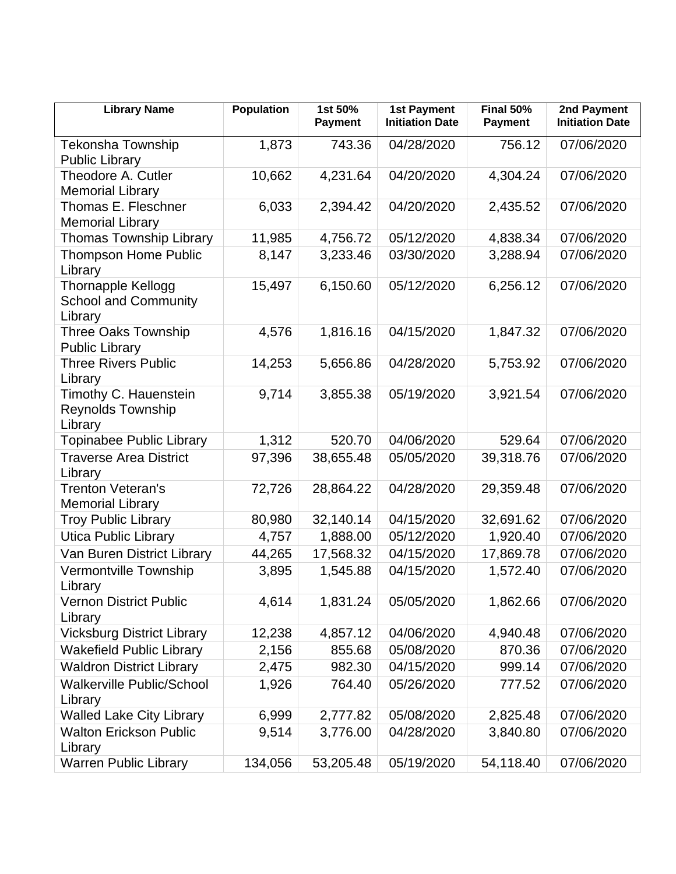| <b>Library Name</b>                                          | <b>Population</b> | 1st 50%<br><b>Payment</b> | <b>1st Payment</b><br><b>Initiation Date</b> | <b>Final 50%</b><br><b>Payment</b> | 2nd Payment<br><b>Initiation Date</b> |
|--------------------------------------------------------------|-------------------|---------------------------|----------------------------------------------|------------------------------------|---------------------------------------|
| <b>Tekonsha Township</b><br><b>Public Library</b>            | 1,873             | 743.36                    | 04/28/2020                                   | 756.12                             | 07/06/2020                            |
| Theodore A. Cutler<br><b>Memorial Library</b>                | 10,662            | 4,231.64                  | 04/20/2020                                   | 4,304.24                           | 07/06/2020                            |
| Thomas E. Fleschner<br><b>Memorial Library</b>               | 6,033             | 2,394.42                  | 04/20/2020                                   | 2,435.52                           | 07/06/2020                            |
| <b>Thomas Township Library</b>                               | 11,985            | 4,756.72                  | 05/12/2020                                   | 4,838.34                           | 07/06/2020                            |
| <b>Thompson Home Public</b><br>Library                       | 8,147             | 3,233.46                  | 03/30/2020                                   | 3,288.94                           | 07/06/2020                            |
| Thornapple Kellogg<br><b>School and Community</b><br>Library | 15,497            | 6,150.60                  | 05/12/2020                                   | 6,256.12                           | 07/06/2020                            |
| Three Oaks Township<br><b>Public Library</b>                 | 4,576             | 1,816.16                  | 04/15/2020                                   | 1,847.32                           | 07/06/2020                            |
| <b>Three Rivers Public</b><br>Library                        | 14,253            | 5,656.86                  | 04/28/2020                                   | 5,753.92                           | 07/06/2020                            |
| Timothy C. Hauenstein<br>Reynolds Township<br>Library        | 9,714             | 3,855.38                  | 05/19/2020                                   | 3,921.54                           | 07/06/2020                            |
| Topinabee Public Library                                     | 1,312             | 520.70                    | 04/06/2020                                   | 529.64                             | 07/06/2020                            |
| <b>Traverse Area District</b><br>Library                     | 97,396            | 38,655.48                 | 05/05/2020                                   | 39,318.76                          | 07/06/2020                            |
| <b>Trenton Veteran's</b><br><b>Memorial Library</b>          | 72,726            | 28,864.22                 | 04/28/2020                                   | 29,359.48                          | 07/06/2020                            |
| <b>Troy Public Library</b>                                   | 80,980            | 32,140.14                 | 04/15/2020                                   | 32,691.62                          | 07/06/2020                            |
| <b>Utica Public Library</b>                                  | 4,757             | 1,888.00                  | 05/12/2020                                   | 1,920.40                           | 07/06/2020                            |
| Van Buren District Library                                   | 44,265            | 17,568.32                 | 04/15/2020                                   | 17,869.78                          | 07/06/2020                            |
| <b>Vermontville Township</b><br>Library                      | 3,895             | 1,545.88                  | 04/15/2020                                   | 1,572.40                           | 07/06/2020                            |
| Vernon District Public<br>Library                            | 4,614             | 1,831.24                  | 05/05/2020                                   | 1,862.66                           | 07/06/2020                            |
| <b>Vicksburg District Library</b>                            | 12,238            | 4,857.12                  | 04/06/2020                                   | 4,940.48                           | 07/06/2020                            |
| <b>Wakefield Public Library</b>                              | 2,156             | 855.68                    | 05/08/2020                                   | 870.36                             | 07/06/2020                            |
| <b>Waldron District Library</b>                              | 2,475             | 982.30                    | 04/15/2020                                   | 999.14                             | 07/06/2020                            |
| <b>Walkerville Public/School</b><br>Library                  | 1,926             | 764.40                    | 05/26/2020                                   | 777.52                             | 07/06/2020                            |
| <b>Walled Lake City Library</b>                              | 6,999             | 2,777.82                  | 05/08/2020                                   | 2,825.48                           | 07/06/2020                            |
| <b>Walton Erickson Public</b><br>Library                     | 9,514             | 3,776.00                  | 04/28/2020                                   | 3,840.80                           | 07/06/2020                            |
| <b>Warren Public Library</b>                                 | 134,056           | 53,205.48                 | 05/19/2020                                   | 54,118.40                          | 07/06/2020                            |